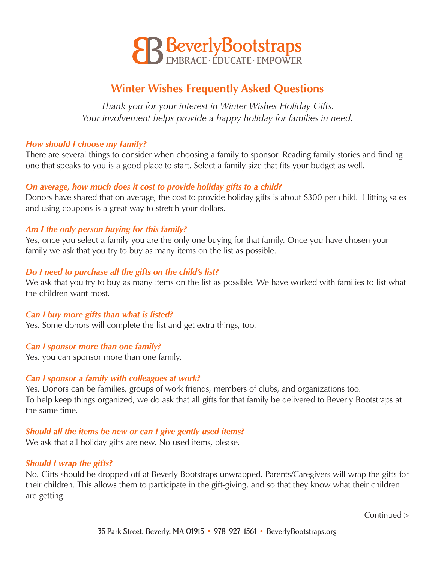

# **Winter Wishes Frequently Asked Questions**

*Thank you for your interest in Winter Wishes Holiday Gifts. Your involvement helps provide a happy holiday for families in need.* 

## *How should I choose my family?*

There are several things to consider when choosing a family to sponsor. Reading family stories and finding one that speaks to you is a good place to start. Select a family size that fits your budget as well.

# *On average, how much does it cost to provide holiday gifts to a child?*

Donors have shared that on average, the cost to provide holiday gifts is about \$300 per child. Hitting sales and using coupons is a great way to stretch your dollars.

# *Am I the only person buying for this family?*

Yes, once you select a family you are the only one buying for that family. Once you have chosen your family we ask that you try to buy as many items on the list as possible.

# *Do I need to purchase all the gifts on the child's list?*

We ask that you try to buy as many items on the list as possible. We have worked with families to list what the children want most.

## *Can I buy more gifts than what is listed?*

Yes. Some donors will complete the list and get extra things, too.

## *Can I sponsor more than one family?*

Yes, you can sponsor more than one family.

## *Can I sponsor a family with colleagues at work?*

Yes. Donors can be families, groups of work friends, members of clubs, and organizations too. To help keep things organized, we do ask that all gifts for that family be delivered to Beverly Bootstraps at the same time.

# *Should all the items be new or can I give gently used items?*

We ask that all holiday gifts are new. No used items, please.

## *Should I wrap the gifts?*

No. Gifts should be dropped off at Beverly Bootstraps unwrapped. Parents/Caregivers will wrap the gifts for their children. This allows them to participate in the gift-giving, and so that they know what their children are getting.

Continued >